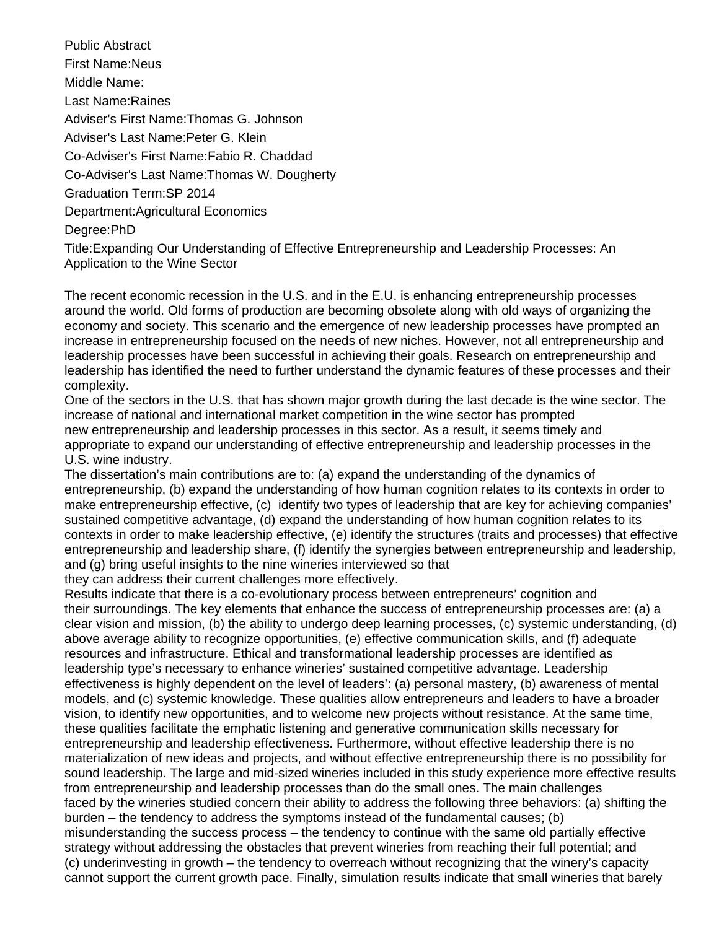Public Abstract First Name:Neus Middle Name: Last Name:Raines Adviser's First Name:Thomas G. Johnson Adviser's Last Name:Peter G. Klein Co-Adviser's First Name:Fabio R. Chaddad Co-Adviser's Last Name:Thomas W. Dougherty Graduation Term:SP 2014 Department:Agricultural Economics Degree:PhD Title:Expanding Our Understanding of Effective Entrepreneurship and Leadership Processes: An Application to the Wine Sector

The recent economic recession in the U.S. and in the E.U. is enhancing entrepreneurship processes around the world. Old forms of production are becoming obsolete along with old ways of organizing the economy and society. This scenario and the emergence of new leadership processes have prompted an increase in entrepreneurship focused on the needs of new niches. However, not all entrepreneurship and leadership processes have been successful in achieving their goals. Research on entrepreneurship and leadership has identified the need to further understand the dynamic features of these processes and their complexity.

One of the sectors in the U.S. that has shown major growth during the last decade is the wine sector. The increase of national and international market competition in the wine sector has prompted new entrepreneurship and leadership processes in this sector. As a result, it seems timely and appropriate to expand our understanding of effective entrepreneurship and leadership processes in the U.S. wine industry.

The dissertation's main contributions are to: (a) expand the understanding of the dynamics of entrepreneurship, (b) expand the understanding of how human cognition relates to its contexts in order to make entrepreneurship effective, (c) identify two types of leadership that are key for achieving companies' sustained competitive advantage, (d) expand the understanding of how human cognition relates to its contexts in order to make leadership effective, (e) identify the structures (traits and processes) that effective entrepreneurship and leadership share, (f) identify the synergies between entrepreneurship and leadership, and (g) bring useful insights to the nine wineries interviewed so that

they can address their current challenges more effectively.

Results indicate that there is a co-evolutionary process between entrepreneurs' cognition and their surroundings. The key elements that enhance the success of entrepreneurship processes are: (a) a clear vision and mission, (b) the ability to undergo deep learning processes, (c) systemic understanding, (d) above average ability to recognize opportunities, (e) effective communication skills, and (f) adequate resources and infrastructure. Ethical and transformational leadership processes are identified as leadership type's necessary to enhance wineries' sustained competitive advantage. Leadership effectiveness is highly dependent on the level of leaders': (a) personal mastery, (b) awareness of mental models, and (c) systemic knowledge. These qualities allow entrepreneurs and leaders to have a broader vision, to identify new opportunities, and to welcome new projects without resistance. At the same time, these qualities facilitate the emphatic listening and generative communication skills necessary for entrepreneurship and leadership effectiveness. Furthermore, without effective leadership there is no materialization of new ideas and projects, and without effective entrepreneurship there is no possibility for sound leadership. The large and mid-sized wineries included in this study experience more effective results from entrepreneurship and leadership processes than do the small ones. The main challenges faced by the wineries studied concern their ability to address the following three behaviors: (a) shifting the burden – the tendency to address the symptoms instead of the fundamental causes; (b) misunderstanding the success process – the tendency to continue with the same old partially effective strategy without addressing the obstacles that prevent wineries from reaching their full potential; and (c) underinvesting in growth – the tendency to overreach without recognizing that the winery's capacity cannot support the current growth pace. Finally, simulation results indicate that small wineries that barely